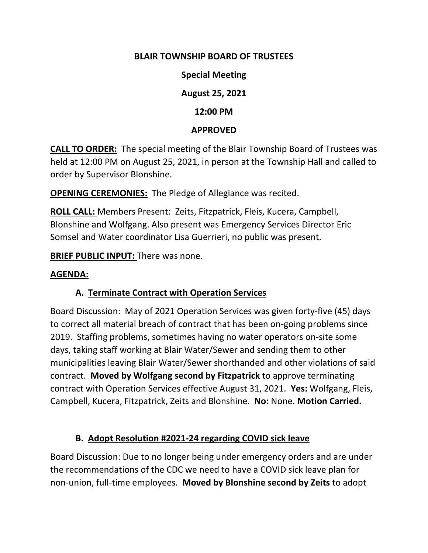#### **BLAIR TOWNSHIP BOARD OF TRUSTEES**

**Special Meeting**

**August 25, 2021**

**12:00 PM**

#### **APPROVED**

**CALL TO ORDER:** The special meeting of the Blair Township Board of Trustees was held at 12:00 PM on August 25, 2021, in person at the Township Hall and called to order by Supervisor Blonshine.

**OPENING CEREMONIES:** The Pledge of Allegiance was recited.

**ROLL CALL:** Members Present: Zeits, Fitzpatrick, Fleis, Kucera, Campbell, Blonshine and Wolfgang. Also present was Emergency Services Director Eric Somsel and Water coordinator Lisa Guerrieri, no public was present.

**BRIEF PUBLIC INPUT:** There was none.

#### **AGENDA:**

### **A. Terminate Contract with Operation Services**

Board Discussion: May of 2021 Operation Services was given forty-five (45) days to correct all material breach of contract that has been on-going problems since 2019. Staffing problems, sometimes having no water operators on-site some days, taking staff working at Blair Water/Sewer and sending them to other municipalities leaving Blair Water/Sewer shorthanded and other violations of said contract. **Moved by Wolfgang second by Fitzpatrick** to approve terminating contract with Operation Services effective August 31, 2021. **Yes:** Wolfgang, Fleis, Campbell, Kucera, Fitzpatrick, Zeits and Blonshine. **No:** None. **Motion Carried.**

### **B. Adopt Resolution #2021-24 regarding COVID sick leave**

Board Discussion: Due to no longer being under emergency orders and are under the recommendations of the CDC we need to have a COVID sick leave plan for non-union, full-time employees. **Moved by Blonshine second by Zeits** to adopt